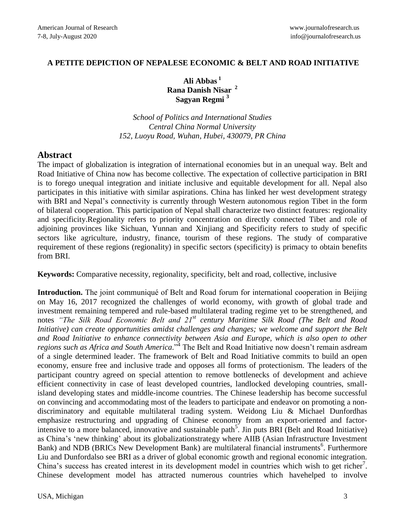#### **A PETITE DEPICTION OF NEPALESE ECONOMIC & BELT AND ROAD INITIATIVE**

**Ali Abbas <sup>1</sup> Rana Danish Nisar <sup>2</sup> Sagyan Regmi <sup>3</sup>**

*School of Politics and International Studies Central China Normal University 152, Luoyu Road, Wuhan, Hubei, 430079, PR China*

## **Abstract**

The impact of globalization is integration of international economies but in an unequal way. Belt and Road Initiative of China now has become collective. The expectation of collective participation in BRI is to forego unequal integration and initiate inclusive and equitable development for all. Nepal also participates in this initiative with similar aspirations. China has linked her west development strategy with BRI and Nepal's connectivity is currently through Western autonomous region Tibet in the form of bilateral cooperation. This participation of Nepal shall characterize two distinct features: regionality and specificity.Regionality refers to priority concentration on directly connected Tibet and role of adjoining provinces like Sichuan, Yunnan and Xinjiang and Specificity refers to study of specific sectors like agriculture, industry, finance, tourism of these regions. The study of comparative requirement of these regions (regionality) in specific sectors (specificity) is primacy to obtain benefits from BRI.

**Keywords:** Comparative necessity, regionality, specificity, belt and road, collective, inclusive

**Introduction.** The joint communiqué of Belt and Road forum for international cooperation in Beijing on May 16, 2017 recognized the challenges of world economy, with growth of global trade and investment remaining tempered and rule-based multilateral trading regime yet to be strengthened, and notes *"The Silk Road Economic Belt and 21st century Maritime Silk Road (The Belt and Road Initiative) can create opportunities amidst challenges and changes; we welcome and support the Belt and Road Initiative to enhance connectivity between Asia and Europe, which is also open to other*  regions such as Africa and South America."<sup>4</sup> The Belt and Road Initiative now doesn't remain asdream of a single determined leader. The framework of Belt and Road Initiative commits to build an open economy, ensure free and inclusive trade and opposes all forms of protectionism. The leaders of the participant country agreed on special attention to remove bottlenecks of development and achieve efficient connectivity in case of least developed countries, landlocked developing countries, smallisland developing states and middle-income countries. The Chinese leadership has become successful on convincing and accommodating most of the leaders to participate and endeavor on promoting a nondiscriminatory and equitable multilateral trading system. Weidong Liu & Michael Dunfordhas emphasize restructuring and upgrading of Chinese economy from an export-oriented and factorintensive to a more balanced, innovative and sustainable path<sup>5</sup>. Jin puts BRI (Belt and Road Initiative) as China's 'new thinking' about its globalizationstrategy where AIIB (Asian Infrastructure Investment Bank) and NDB (BRICs New Development Bank) are multilateral financial instruments<sup>6</sup>. Furthermore Liu and Dunfordalso see BRI as a driver of global economic growth and regional economic integration. China's success has created interest in its development model in countries which wish to get richer<sup>7</sup>. Chinese development model has attracted numerous countries which havehelped to involve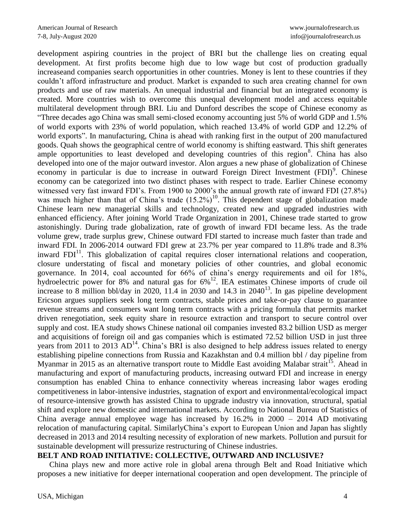development aspiring countries in the project of BRI but the challenge lies on creating equal development. At first profits become high due to low wage but cost of production gradually increaseand companies search opportunities in other countries. Money is lent to these countries if they couldn't afford infrastructure and product. Market is expanded to such area creating channel for own products and use of raw materials. An unequal industrial and financial but an integrated economy is created. More countries wish to overcome this unequal development model and access equitable multilateral development through BRI. Liu and Dunford describes the scope of Chinese economy as "Three decades ago China was small semi-closed economy accounting just 5% of world GDP and 1.5% of world exports with 23% of world population, which reached 13.4% of world GDP and 12.2% of world exports". In manufacturing, China is ahead with ranking first in the output of 200 manufactured goods. Quah shows the geographical centre of world economy is shifting eastward. This shift generates ample opportunities to least developed and developing countries of this region<sup>8</sup>. China has also developed into one of the major outward investor. Alon argues a new phase of globalization of Chinese economy in particular is due to increase in outward Foreign Direct Investment (FDI)<sup>9</sup>. Chinese economy can be categorized into two distinct phases with respect to trade. Earlier Chinese economy witnessed very fast inward FDI's. From 1900 to 2000's the annual growth rate of inward FDI (27.8%) was much higher than that of China's trade  $(15.2\%)^{10}$ . This dependent stage of globalization made Chinese learn new managerial skills and technology, created new and upgraded industries with enhanced efficiency. After joining World Trade Organization in 2001, Chinese trade started to grow astonishingly. During trade globalization, rate of growth of inward FDI became less. As the trade volume grew, trade surplus grew, Chinese outward FDI started to increase much faster than trade and inward FDI. In 2006-2014 outward FDI grew at 23.7% per year compared to 11.8% trade and 8.3% inward  $FDI<sup>11</sup>$ . This globalization of capital requires closer international relations and cooperation, closure understating of fiscal and monetary policies of other countries, and global economic governance. In 2014, coal accounted for 66% of china's energy requirements and oil for 18%, hydroelectric power for 8% and natural gas for  $6\%$ <sup>12</sup>. IEA estimates Chinese imports of crude oil increase to 8 million bbl/day in 2020,  $11.\overline{4}$  in 2030 and  $14.3$  in 2040<sup>13</sup>. In gas pipeline development Ericson argues suppliers seek long term contracts, stable prices and take-or-pay clause to guarantee revenue streams and consumers want long term contracts with a pricing formula that permits market driven renegotiation, seek equity share in resource extraction and transport to secure control over supply and cost. IEA study shows Chinese national oil companies invested 83.2 billion USD as merger and acquisitions of foreign oil and gas companies which is estimated 72.52 billion USD in just three years from 2011 to 2013  $AD^{14}$ . China's BRI is also designed to help address issues related to energy establishing pipeline connections from Russia and Kazakhstan and 0.4 million bbl / day pipeline from Myanmar in 2015 as an alternative transport route to Middle East avoiding Malabar strait<sup>15</sup>. Ahead in manufacturing and export of manufacturing products, increasing outward FDI and increase in energy consumption has enabled China to enhance connectivity whereas increasing labor wages eroding competitiveness in labor-intensive industries, stagnation of export and environmental/ecological impact of resource-intensive growth has assisted China to upgrade industry via innovation, structural, spatial shift and explore new domestic and international markets. According to National Bureau of Statistics of China average annual employee wage has increased by  $16.2\%$  in  $2000 - 2014$  AD motivating relocation of manufacturing capital. SimilarlyChina's export to European Union and Japan has slightly decreased in 2013 and 2014 resulting necessity of exploration of new markets. Pollution and pursuit for sustainable development will pressurize restructuring of Chinese industries.

#### **BELT AND ROAD INITIATIVE: COLLECTIVE, OUTWARD AND INCLUSIVE?**

China plays new and more active role in global arena through Belt and Road Initiative which proposes a new initiative for deeper international cooperation and open development. The principle of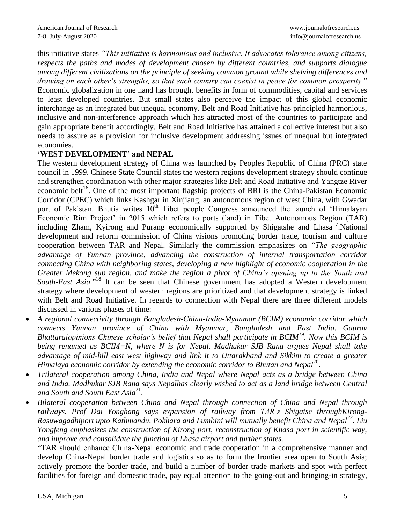this initiative states *"This initiative is harmonious and inclusive. It advocates tolerance among citizens, respects the paths and modes of development chosen by different countries, and supports dialogue among different civilizations on the principle of seeking common ground while shelving differences and drawing on each other's strengths, so that each country can coexist in peace for common prosperity.*" Economic globalization in one hand has brought benefits in form of commodities, capital and services to least developed countries. But small states also perceive the impact of this global economic interchange as an integrated but unequal economy. Belt and Road Initiative has principled harmonious, inclusive and non-interference approach which has attracted most of the countries to participate and gain appropriate benefit accordingly. Belt and Road Initiative has attained a collective interest but also needs to assure as a provision for inclusive development addressing issues of unequal but integrated economies.

## **'WEST DEVELOPMENT' and NEPAL**

The western development strategy of China was launched by Peoples Republic of China (PRC) state council in 1999. Chinese State Council states the western regions development strategy should continue and strengthen coordination with other major strategies like Belt and Road Initiative and Yangtze River economic belt<sup>16</sup>. One of the most important flagship projects of BRI is the China-Pakistan Economic Corridor (CPEC) which links Kashgar in Xinjiang, an autonomous region of west China, with Gwadar port of Pakistan. Bhutia writes  $10<sup>th</sup>$  Tibet people Congress announced the launch of 'Himalayan Economic Rim Project' in 2015 which refers to ports (land) in Tibet Autonomous Region (TAR) including Zham, Kyirong and Purang economically supported by Shigatshe and Lhasa<sup>17</sup>.National development and reform commission of China visions promoting border trade, tourism and culture cooperation between TAR and Nepal. Similarly the commission emphasizes on *"The geographic advantage of Yunnan province, advancing the construction of internal transportation corridor connecting China with neighboring states, developing a new highlight of economic cooperation in the Greater Mekong sub region, and make the region a pivot of China's opening up to the South and*  South-East Asia."<sup>18</sup> It can be seen that Chinese government has adopted a Western development strategy where development of western regions are prioritized and that development strategy is linked with Belt and Road Initiative. In regards to connection with Nepal there are three different models discussed in various phases of time:

- *A regional connectivity through Bangladesh-China-India-Myanmar (BCIM) economic corridor which connects Yunnan province of China with Myanmar, Bangladesh and East India. Gaurav Bhattaraiopinions Chinese scholar's belief that Nepal shall participate in BCIM<sup>19</sup> . Now this BCIM is being renamed as BCIM+N, where N is for Nepal. Madhukar SJB Rana argues Nepal shall take advantage of mid-hill east west highway and link it to Uttarakhand and Sikkim to create a greater*  Himalaya economic corridor by extending the economic corridor to Bhutan and Nepal<sup>20</sup>.
- *Trilateral cooperation among China, India and Nepal where Nepal acts as a bridge between China and India. Madhukar SJB Rana says Nepalhas clearly wished to act as a land bridge between Central*  and South and South East Asia<sup>21</sup>.
- *Bilateral cooperation between China and Nepal through connection of China and Nepal through railways. Prof Dai Yonghang says expansion of railway from TAR's Shigatse throughKirong-Rasuwagadhiport upto Kathmandu, Pokhara and Lumbini will mutually benefit China and Nepal<sup>22</sup> . Liu Yongfeng emphasizes the construction of Kirong port, reconstruction of Khasa port in scientific way, and improve and consolidate the function of Lhasa airport and further states.*

"TAR should enhance China-Nepal economic and trade cooperation in a comprehensive manner and develop China-Nepal border trade and logistics so as to form the frontier area open to South Asia; actively promote the border trade, and build a number of border trade markets and spot with perfect facilities for foreign and domestic trade, pay equal attention to the going-out and bringing-in strategy,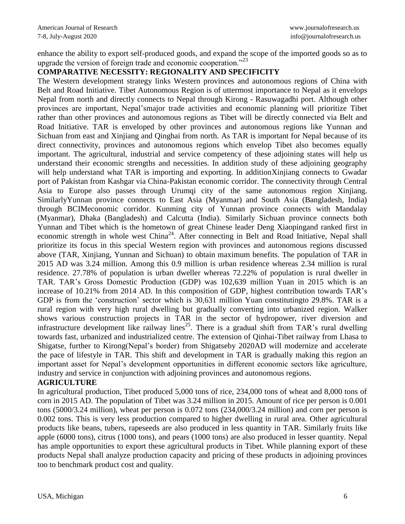enhance the ability to export self-produced goods, and expand the scope of the imported goods so as to upgrade the version of foreign trade and economic cooperation."<sup>23</sup>

### **COMPARATIVE NECESSITY: REGIONALITY AND SPECIFICITY**

The Western development strategy links Western provinces and autonomous regions of China with Belt and Road Initiative. Tibet Autonomous Region is of uttermost importance to Nepal as it envelops Nepal from north and directly connects to Nepal through Kirong - Rasuwagadhi port. Although other provinces are important, Nepal'smajor trade activities and economic planning will prioritize Tibet rather than other provinces and autonomous regions as Tibet will be directly connected via Belt and Road Initiative. TAR is enveloped by other provinces and autonomous regions like Yunnan and Sichuan from east and Xinjiang and Qinghai from north. As TAR is important for Nepal because of its direct connectivity, provinces and autonomous regions which envelop Tibet also becomes equally important. The agricultural, industrial and service competency of these adjoining states will help us understand their economic strengths and necessities. In addition study of these adjoining geography will help understand what TAR is importing and exporting. In additionXinjiang connects to Gwadar port of Pakistan from Kashgar via China-Pakistan economic corridor. The connectivity through Central Asia to Europe also passes through Urumqi city of the same autonomous region Xinjiang. SimilarlyYunnan province connects to East Asia (Myanmar) and South Asia (Bangladesh, India) through BCIMeconomic corridor. Kunming city of Yunnan province connects with Mandalay (Myanmar), Dhaka (Bangladesh) and Calcutta (India). Similarly Sichuan province connects both Yunnan and Tibet which is the hometown of great Chinese leader Deng Xiaopingand ranked first in economic strength in whole west China<sup>24</sup>. After connecting in Belt and Road Initiative, Nepal shall prioritize its focus in this special Western region with provinces and autonomous regions discussed above (TAR, Xinjiang, Yunnan and Sichuan) to obtain maximum benefits. The population of TAR in 2015 AD was 3.24 million. Among this 0.9 million is urban residence whereas 2.34 million is rural residence. 27.78% of population is urban dweller whereas 72.22% of population is rural dweller in TAR. TAR's Gross Domestic Production (GDP) was 102,639 million Yuan in 2015 which is an increase of 10.21% from 2014 AD. In this composition of GDP, highest contribution towards TAR's GDP is from the 'construction' sector which is 30,631 million Yuan constitutingto 29.8%. TAR is a rural region with very high rural dwelling but gradually converting into urbanized region. Walker shows various construction projects in TAR in the sector of hydropower, river diversion and infrastructure development like railway lines<sup>25</sup>. There is a gradual shift from TAR's rural dwelling towards fast, urbanized and industrialized centre. The extension of Qinhai-Tibet railway from Lhasa to Shigatse, further to Kirong(Nepal's border) from Shigatseby 2020AD will modernize and accelerate the pace of lifestyle in TAR. This shift and development in TAR is gradually making this region an important asset for Nepal's development opportunities in different economic sectors like agriculture, industry and service in conjunction with adjoining provinces and autonomous regions.

#### **AGRICULTURE**

In agricultural production, Tibet produced 5,000 tons of rice, 234,000 tons of wheat and 8,000 tons of corn in 2015 AD. The population of Tibet was 3.24 million in 2015. Amount of rice per person is 0.001 tons (5000/3.24 million), wheat per person is 0.072 tons (234,000/3.24 million) and corn per person is 0.002 tons. This is very less production compared to higher dwelling in rural area. Other agricultural products like beans, tubers, rapeseeds are also produced in less quantity in TAR. Similarly fruits like apple (6000 tons), citrus (1000 tons), and pears (1000 tons) are also produced in lesser quantity. Nepal has ample opportunities to export these agricultural products in Tibet. While planning export of these products Nepal shall analyze production capacity and pricing of these products in adjoining provinces too to benchmark product cost and quality.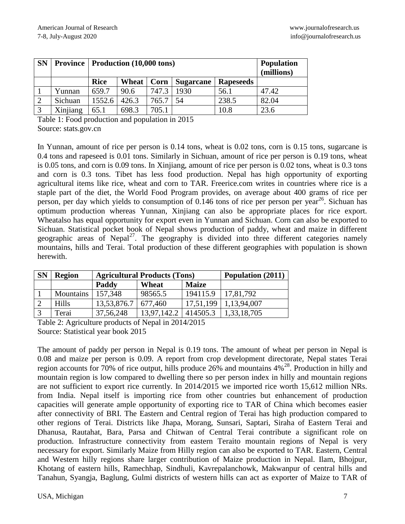| <b>SN</b>    | <b>Province   Production (10,000 tons)</b> |             | <b>Population</b><br>(millions) |       |                  |                  |       |
|--------------|--------------------------------------------|-------------|---------------------------------|-------|------------------|------------------|-------|
|              |                                            | <b>Rice</b> | Wheat                           | Corn  | <b>Sugarcane</b> | <b>Rapeseeds</b> |       |
|              | Yunnan                                     | 659.7       | 90.6                            | 747.3 | 1930             | 56.1             | 47.42 |
|              | Sichuan                                    | 1552.6      | 426.3                           | 765.7 | 54               | 238.5            | 82.04 |
| $\mathbf{r}$ | Xinjiang                                   | 65.1        | 698.3                           | 705.1 |                  | 10.8             | 23.6  |

Table 1: Food production and population in 2015 Source: stats.gov.cn

In Yunnan, amount of rice per person is 0.14 tons, wheat is 0.02 tons, corn is 0.15 tons, sugarcane is 0.4 tons and rapeseed is 0.01 tons. Similarly in Sichuan, amount of rice per person is 0.19 tons, wheat is 0.05 tons, and corn is 0.09 tons. In Xinjiang, amount of rice per person is 0.02 tons, wheat is 0.3 tons and corn is 0.3 tons. Tibet has less food production. Nepal has high opportunity of exporting agricultural items like rice, wheat and corn to TAR. Freerice.com writes in countries where rice is a staple part of the diet, the World Food Program provides, on average about 400 grams of rice per person, per day which yields to consumption of 0.146 tons of rice per person per year<sup>26</sup>. Sichuan has optimum production whereas Yunnan, Xinjiang can also be appropriate places for rice export. Wheatalso has equal opportunity for export even in Yunnan and Sichuan. Corn can also be exported to Sichuan. Statistical pocket book of Nepal shows production of paddy, wheat and maize in different geographic areas of Nepal<sup>27</sup>. The geography is divided into three different categories namely mountains, hills and Terai. Total production of these different geographies with population is shown herewith.

| <b>SN</b> | <b>Region</b> | <b>Agricultural Products (Tons)</b> | Population (2011) |              |             |
|-----------|---------------|-------------------------------------|-------------------|--------------|-------------|
|           |               | Paddy                               | Wheat             | <b>Maize</b> |             |
|           | Mountains     | 157,348                             | 98565.5           | 194115.9     | 17,81,792   |
|           | <b>Hills</b>  | 13,53,876.7                         | 677,460           | 17,51,199    | 1,13,94,007 |
|           | Terai         | 37, 56, 248                         | 13,97,142.2       | 414505.3     | 1,33,18,705 |

Table 2: Agriculture products of Nepal in 2014/2015 Source: Statistical year book 2015

The amount of paddy per person in Nepal is 0.19 tons. The amount of wheat per person in Nepal is 0.08 and maize per person is 0.09. A report from crop development directorate, Nepal states Terai region accounts for 70% of rice output, hills produce  $26\%$  and mountains  $4\%^{28}$ . Production in hilly and mountain region is low compared to dwelling there so per person index in hilly and mountain regions are not sufficient to export rice currently. In 2014/2015 we imported rice worth 15,612 million NRs. from India. Nepal itself is importing rice from other countries but enhancement of production capacities will generate ample opportunity of exporting rice to TAR of China which becomes easier after connectivity of BRI. The Eastern and Central region of Terai has high production compared to other regions of Terai. Districts like Jhapa, Morang, Sunsari, Saptari, Siraha of Eastern Terai and Dhanusa, Rautahat, Bara, Parsa and Chitwan of Central Terai contribute a significant role on production. Infrastructure connectivity from eastern Teraito mountain regions of Nepal is very necessary for export. Similarly Maize from Hilly region can also be exported to TAR. Eastern, Central and Western hilly regions share larger contribution of Maize production in Nepal. Ilam, Bhojpur, Khotang of eastern hills, Ramechhap, Sindhuli, Kavrepalanchowk, Makwanpur of central hills and Tanahun, Syangja, Baglung, Gulmi districts of western hills can act as exporter of Maize to TAR of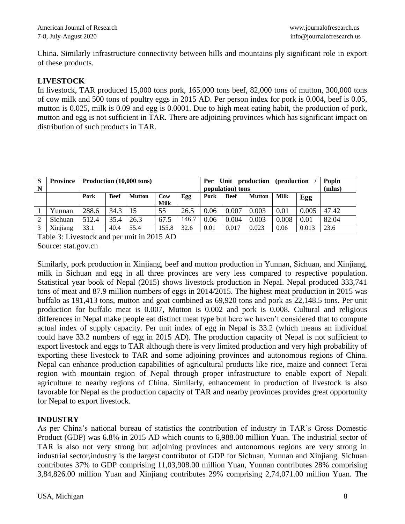China. Similarly infrastructure connectivity between hills and mountains ply significant role in export of these products.

## **LIVESTOCK**

In livestock, TAR produced 15,000 tons pork, 165,000 tons beef, 82,000 tons of mutton, 300,000 tons of cow milk and 500 tons of poultry eggs in 2015 AD. Per person index for pork is 0.004, beef is 0.05, mutton is 0.025, milk is 0.09 and egg is 0.0001. Due to high meat eating habit, the production of pork, mutton and egg is not sufficient in TAR. There are adjoining provinces which has significant impact on distribution of such products in TAR.

| S | <b>Province</b> | Production (10,000 tons) |             |               |             |       | Per              | Unit production (production |               |             |        | Popln |
|---|-----------------|--------------------------|-------------|---------------|-------------|-------|------------------|-----------------------------|---------------|-------------|--------|-------|
| N |                 |                          |             |               |             |       | population) tons |                             |               |             | (mlns) |       |
|   |                 | Pork                     | <b>Beef</b> | <b>Mutton</b> | Cow         | Egg   | Pork             | <b>Beef</b>                 | <b>Mutton</b> | <b>Milk</b> | Egg    |       |
|   |                 |                          |             |               | <b>Milk</b> |       |                  |                             |               |             |        |       |
|   | Yunnan          | 288.6                    | 34.3        |               | 55          | 26.5  | 0.06             | 0.007                       | 0.003         | 0.01        | 0.005  | 47.42 |
|   | Sichuan         | 512.4                    | 35.4        | 26.3          | 67.5        | 146.7 | 0.06             | 0.004                       | 0.003         | 0.008       | 0.01   | 82.04 |
|   | Xinjiang        | 33.1                     | 40.4        | 55.4          | 155.8       | 32.6  | 0.01             | 0.017                       | 0.023         | 0.06        | 0.013  | 23.6  |

Table 3: Livestock and per unit in 2015 AD Source: stat.gov.cn

Similarly, pork production in Xinjiang, beef and mutton production in Yunnan, Sichuan, and Xinjiang, milk in Sichuan and egg in all three provinces are very less compared to respective population. Statistical year book of Nepal (2015) shows livestock production in Nepal. Nepal produced 333,741 tons of meat and 87.9 million numbers of eggs in 2014/2015. The highest meat production in 2015 was buffalo as 191,413 tons, mutton and goat combined as 69,920 tons and pork as 22,148.5 tons. Per unit production for buffalo meat is 0.007, Mutton is 0.002 and pork is 0.008. Cultural and religious differences in Nepal make people eat distinct meat type but here we haven't considered that to compute actual index of supply capacity. Per unit index of egg in Nepal is 33.2 (which means an individual could have 33.2 numbers of egg in 2015 AD). The production capacity of Nepal is not sufficient to export livestock and eggs to TAR although there is very limited production and very high probability of exporting these livestock to TAR and some adjoining provinces and autonomous regions of China. Nepal can enhance production capabilities of agricultural products like rice, maize and connect Terai region with mountain region of Nepal through proper infrastructure to enable export of Nepali agriculture to nearby regions of China. Similarly, enhancement in production of livestock is also favorable for Nepal as the production capacity of TAR and nearby provinces provides great opportunity for Nepal to export livestock.

# **INDUSTRY**

As per China's national bureau of statistics the contribution of industry in TAR's Gross Domestic Product (GDP) was 6.8% in 2015 AD which counts to 6,988.00 million Yuan. The industrial sector of TAR is also not very strong but adjoining provinces and autonomous regions are very strong in industrial sector,industry is the largest contributor of GDP for Sichuan, Yunnan and Xinjiang. Sichuan contributes 37% to GDP comprising 11,03,908.00 million Yuan, Yunnan contributes 28% comprising 3,84,826.00 million Yuan and Xinjiang contributes 29% comprising 2,74,071.00 million Yuan. The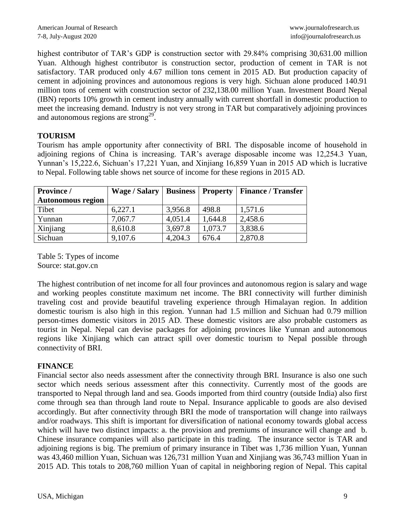highest contributor of TAR's GDP is construction sector with 29.84% comprising 30,631.00 million Yuan. Although highest contributor is construction sector, production of cement in TAR is not satisfactory. TAR produced only 4.67 million tons cement in 2015 AD. But production capacity of cement in adjoining provinces and autonomous regions is very high. Sichuan alone produced 140.91 million tons of cement with construction sector of 232,138.00 million Yuan. Investment Board Nepal (IBN) reports 10% growth in cement industry annually with current shortfall in domestic production to meet the increasing demand. Industry is not very strong in TAR but comparatively adjoining provinces and autonomous regions are strong<sup>29</sup>.

## **TOURISM**

Tourism has ample opportunity after connectivity of BRI. The disposable income of household in adjoining regions of China is increasing. TAR's average disposable income was 12,254.3 Yuan, Yunnan's 15,222.6, Sichuan's 17,221 Yuan, and Xinjiang 16,859 Yuan in 2015 AD which is lucrative to Nepal. Following table shows net source of income for these regions in 2015 AD.

| <b>Province</b> /        | Wage / Salary   Business   Property |         |         | <b>Finance / Transfer</b> |  |
|--------------------------|-------------------------------------|---------|---------|---------------------------|--|
| <b>Autonomous region</b> |                                     |         |         |                           |  |
| Tibet                    | 6,227.1                             | 3,956.8 | 498.8   | 1,571.6                   |  |
| Yunnan                   | 7,067.7                             | 4,051.4 | 1,644.8 | 2,458.6                   |  |
| Xinjiang                 | 8,610.8                             | 3,697.8 | 1,073.7 | 3,838.6                   |  |
| Sichuan                  | 9,107.6                             | 4,204.3 | 676.4   | 2,870.8                   |  |

Table 5: Types of income Source: stat.gov.cn

The highest contribution of net income for all four provinces and autonomous region is salary and wage and working peoples constitute maximum net income. The BRI connectivity will further diminish traveling cost and provide beautiful traveling experience through Himalayan region. In addition domestic tourism is also high in this region. Yunnan had 1.5 million and Sichuan had 0.79 million person-times domestic visitors in 2015 AD. These domestic visitors are also probable customers as tourist in Nepal. Nepal can devise packages for adjoining provinces like Yunnan and autonomous regions like Xinjiang which can attract spill over domestic tourism to Nepal possible through connectivity of BRI.

## **FINANCE**

Financial sector also needs assessment after the connectivity through BRI. Insurance is also one such sector which needs serious assessment after this connectivity. Currently most of the goods are transported to Nepal through land and sea. Goods imported from third country (outside India) also first come through sea than through land route to Nepal. Insurance applicable to goods are also devised accordingly. But after connectivity through BRI the mode of transportation will change into railways and/or roadways. This shift is important for diversification of national economy towards global access which will have two distinct impacts: a. the provision and premiums of insurance will change and b. Chinese insurance companies will also participate in this trading. The insurance sector is TAR and adjoining regions is big. The premium of primary insurance in Tibet was 1,736 million Yuan, Yunnan was 43,460 million Yuan, Sichuan was 126,731 million Yuan and Xinjiang was 36,743 million Yuan in 2015 AD. This totals to 208,760 million Yuan of capital in neighboring region of Nepal. This capital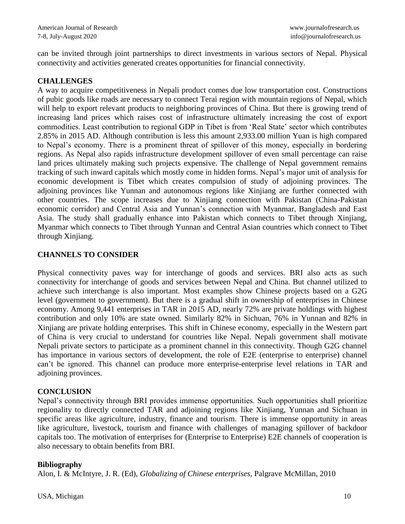can be invited through joint partnerships to direct investments in various sectors of Nepal. Physical connectivity and activities generated creates opportunities for financial connectivity.

### **CHALLENGES**

A way to acquire competitiveness in Nepali product comes due low transportation cost. Constructions of pubic goods like roads are necessary to connect Terai region with mountain regions of Nepal, which will help to export relevant products to neighboring provinces of China. But there is growing trend of increasing land prices which raises cost of infrastructure ultimately increasing the cost of export commodities. Least contribution to regional GDP in Tibet is from 'Real State' sector which contributes 2.85% in 2015 AD. Although contribution is less this amount 2,933.00 million Yuan is high compared to Nepal's economy. There is a prominent threat of spillover of this money, especially in bordering regions. As Nepal also rapids infrastructure development spillover of even small percentage can raise land prices ultimately making such projects expensive. The challenge of Nepal government remains tracking of such inward capitals which mostly come in hidden forms. Nepal's major unit of analysis for economic development is Tibet which creates compulsion of study of adjoining provinces. The adjoining provinces like Yunnan and autonomous regions like Xinjiang are further connected with other countries. The scope increases due to Xinjiang connection with Pakistan (China-Pakistan economic corridor) and Central Asia and Yunnan's connection with Myanmar, Bangladesh and East Asia. The study shall gradually enhance into Pakistan which connects to Tibet through Xinjiang, Myanmar which connects to Tibet through Yunnan and Central Asian countries which connect to Tibet through Xinjiang.

## **CHANNELS TO CONSIDER**

Physical connectivity paves way for interchange of goods and services. BRI also acts as such connectivity for interchange of goods and services between Nepal and China. But channel utilized to achieve such interchange is also important. Most examples show Chinese projects based on a G2G level (government to government). But there is a gradual shift in ownership of enterprises in Chinese economy. Among 9,441 enterprises in TAR in 2015 AD, nearly 72% are private holdings with highest contribution and only 10% are state owned. Similarly 82% in Sichuan, 76% in Yunnan and 82% in Xinjiang are private holding enterprises. This shift in Chinese economy, especially in the Western part of China is very crucial to understand for countries like Nepal. Nepali government shall motivate Nepali private sectors to participate as a prominent channel in this connectivity. Though G2G channel has importance in various sectors of development, the role of E2E (enterprise to enterprise) channel can't be ignored. This channel can produce more enterprise-enterprise level relations in TAR and adjoining provinces.

## **CONCLUSION**

Nepal's connectivity through BRI provides immense opportunities. Such opportunities shall prioritize regionality to directly connected TAR and adjoining regions like Xinjiang, Yunnan and Sichuan in specific areas like agriculture, industry, finance and tourism. There is immense opportunity in areas like agriculture, livestock, tourism and finance with challenges of managing spillover of backdoor capitals too. The motivation of enterprises for (Enterprise to Enterprise) E2E channels of cooperation is also necessary to obtain benefits from BRI.

## **Bibliography**

Alon, I. & McIntyre, J. R. (Ed), *Globalizing of Chinese enterprises,* Palgrave McMillan, 2010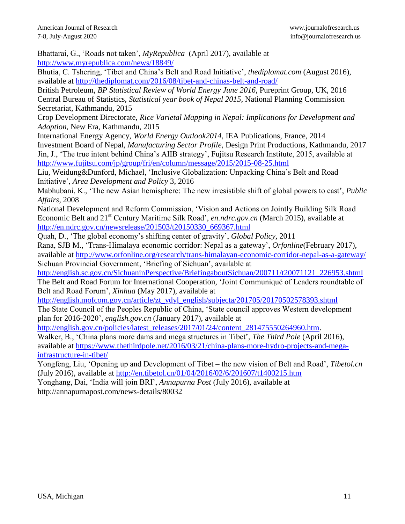Bhattarai, G., 'Roads not taken', *MyRepublica* (April 2017), available at <http://www.myrepublica.com/news/18849/>

Bhutia, C. Tshering, 'Tibet and China's Belt and Road Initiative', *thediplomat.com* (August 2016), available at<http://thediplomat.com/2016/08/tibet-and-chinas-belt-and-road/>

British Petroleum, *BP Statistical Review of World Energy June 2016*, Pureprint Group, UK, 2016 Central Bureau of Statistics, *Statistical year book of Nepal 2015*, National Planning Commission Secretariat, Kathmandu, 2015

Crop Development Directorate, *Rice Varietal Mapping in Nepal: Implications for Development and Adoption,* New Era, Kathmandu, 2015

International Energy Agency, *World Energy Outlook2014*, IEA Publications, France, 2014 Investment Board of Nepal, *Manufacturing Sector Profile,* Design Print Productions, Kathmandu, 2017 Jin, J., 'The true intent behind China's AIIB strategy', Fujitsu Research Institute, 2015, available at <http://www.fujitsu.com/jp/group/fri/en/column/message/2015/2015-08-25.html>

Liu, Weidung&Dunford, Michael, 'Inclusive Globalization: Unpacking China's Belt and Road Initiative', *Area Development and Policy* 3, 2016

Mabhubani, K., 'The new Asian hemisphere: The new irresistible shift of global powers to east', *Public Affairs,* 2008

National Development and Reform Commission, 'Vision and Actions on Jointly Building Silk Road Economic Belt and 21st Century Maritime Silk Road', *en.ndrc.gov.cn* (March 2015), available at [http://en.ndrc.gov.cn/newsrelease/201503/t20150330\\_669367.html](http://en.ndrc.gov.cn/newsrelease/201503/t20150330_669367.html)

Quah, D., 'The global economy's shifting center of gravity', *Global Policy,* 2011

Rana, SJB M., 'Trans-Himalaya economic corridor: Nepal as a gateway', *Orfonline*(February 2017), available at<http://www.orfonline.org/research/trans-himalayan-economic-corridor-nepal-as-a-gateway/> Sichuan Provincial Government, 'Briefing of Sichuan', available at

[http://english.sc.gov.cn/SichuaninPerspective/BriefingaboutSichuan/200711/t20071121\\_226953.shtml](http://english.sc.gov.cn/SichuaninPerspective/BriefingaboutSichuan/200711/t20071121_226953.shtml) The Belt and Road Forum for International Cooperation, 'Joint Communiqué of Leaders roundtable of Belt and Road Forum', *Xinhua* (May 2017), available at

[http://english.mofcom.gov.cn/article/zt\\_ydyl\\_english/subjecta/201705/20170502578393.shtml](http://english.mofcom.gov.cn/article/zt_ydyl_english/subjecta/201705/20170502578393.shtml)

The State Council of the Peoples Republic of China, 'State council approves Western development plan for 2016-2020', *english.gov.cn* (January 2017), available at

[http://english.gov.cn/policies/latest\\_releases/2017/01/24/content\\_281475550264960.htm.](http://english.gov.cn/policies/latest_releases/2017/01/24/content_281475550264960.htm)

Walker, B., 'China plans more dams and mega structures in Tibet', *The Third Pole* (April 2016), available at [https://www.thethirdpole.net/2016/03/21/china-plans-more-hydro-projects-and-mega](https://www.thethirdpole.net/2016/03/21/china-plans-more-hydro-projects-and-mega-infrastructure-in-tibet/)[infrastructure-in-tibet/](https://www.thethirdpole.net/2016/03/21/china-plans-more-hydro-projects-and-mega-infrastructure-in-tibet/)

Yongfeng, Liu, 'Opening up and Development of Tibet – the new vision of Belt and Road', *Tibetol.cn*  (July 2016), available at<http://en.tibetol.cn/01/04/2016/02/6/201607/t1400215.htm>

Yonghang, Dai, 'India will join BRI', *Annapurna Post* (July 2016), available at http://annapurnapost.com/news-details/80032